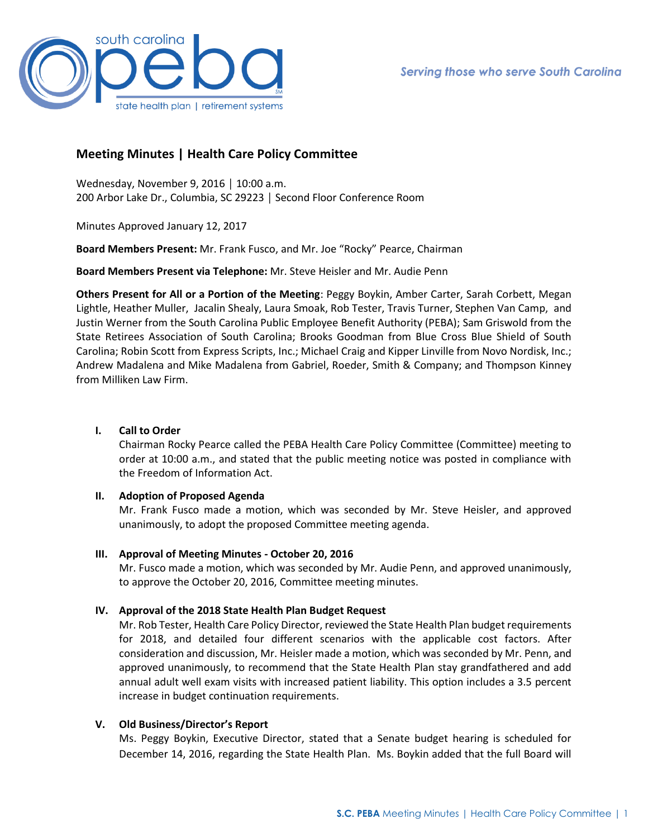

# **Meeting Minutes | Health Care Policy Committee**

Wednesday, November 9, 2016 │ 10:00 a.m. 200 Arbor Lake Dr., Columbia, SC 29223 │ Second Floor Conference Room

Minutes Approved January 12, 2017

**Board Members Present:** Mr. Frank Fusco, and Mr. Joe "Rocky" Pearce, Chairman

**Board Members Present via Telephone:** Mr. Steve Heisler and Mr. Audie Penn

**Others Present for All or a Portion of the Meeting**: Peggy Boykin, Amber Carter, Sarah Corbett, Megan Lightle, Heather Muller, Jacalin Shealy, Laura Smoak, Rob Tester, Travis Turner, Stephen Van Camp, and Justin Werner from the South Carolina Public Employee Benefit Authority (PEBA); Sam Griswold from the State Retirees Association of South Carolina; Brooks Goodman from Blue Cross Blue Shield of South Carolina; Robin Scott from Express Scripts, Inc.; Michael Craig and Kipper Linville from Novo Nordisk, Inc.; Andrew Madalena and Mike Madalena from Gabriel, Roeder, Smith & Company; and Thompson Kinney from Milliken Law Firm.

## **I. Call to Order**

Chairman Rocky Pearce called the PEBA Health Care Policy Committee (Committee) meeting to order at 10:00 a.m., and stated that the public meeting notice was posted in compliance with the Freedom of Information Act.

### **II. Adoption of Proposed Agenda**

Mr. Frank Fusco made a motion, which was seconded by Mr. Steve Heisler, and approved unanimously, to adopt the proposed Committee meeting agenda.

### **III. Approval of Meeting Minutes - October 20, 2016**

Mr. Fusco made a motion, which was seconded by Mr. Audie Penn, and approved unanimously, to approve the October 20, 2016, Committee meeting minutes.

### **IV. Approval of the 2018 State Health Plan Budget Request**

Mr. Rob Tester, Health Care Policy Director, reviewed the State Health Plan budget requirements for 2018, and detailed four different scenarios with the applicable cost factors. After consideration and discussion, Mr. Heisler made a motion, which was seconded by Mr. Penn, and approved unanimously, to recommend that the State Health Plan stay grandfathered and add annual adult well exam visits with increased patient liability. This option includes a 3.5 percent increase in budget continuation requirements.

## **V. Old Business/Director's Report**

Ms. Peggy Boykin, Executive Director, stated that a Senate budget hearing is scheduled for December 14, 2016, regarding the State Health Plan. Ms. Boykin added that the full Board will